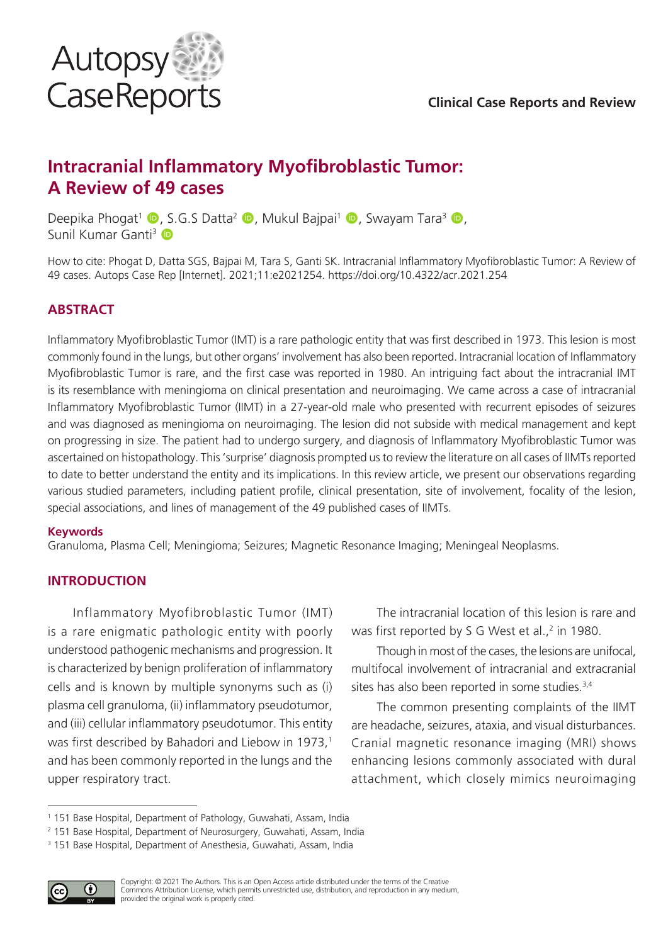

### **Clinical Case Reports and Review**

# **Intracranial Inflammatory Myofibroblastic Tumor: A Review of 49 cases**

Deepika Phogat<sup>1</sup>  $\bullet$ , S.G.S Datta<sup>2</sup>  $\bullet$ , Mukul Bajpai<sup>1</sup>  $\bullet$ , Swayam Tara<sup>3</sup>  $\bullet$ , Sunil Kumar Ganti<sup>3</sup>

How to cite: Phogat D, Datta SGS, Bajpai M, Tara S, Ganti SK. Intracranial Inflammatory Myofibroblastic Tumor: A Review of 49 cases. Autops Case Rep [Internet]. 2021;11:e2021254. https://doi.org/10.4322/acr.2021.254

### **ABSTRACT**

Inflammatory Myofibroblastic Tumor (IMT) is a rare pathologic entity that was first described in 1973. This lesion is most commonly found in the lungs, but other organs' involvement has also been reported. Intracranial location of Inflammatory Myofibroblastic Tumor is rare, and the first case was reported in 1980. An intriguing fact about the intracranial IMT is its resemblance with meningioma on clinical presentation and neuroimaging. We came across a case of intracranial Inflammatory Myofibroblastic Tumor (IIMT) in a 27-year-old male who presented with recurrent episodes of seizures and was diagnosed as meningioma on neuroimaging. The lesion did not subside with medical management and kept on progressing in size. The patient had to undergo surgery, and diagnosis of Inflammatory Myofibroblastic Tumor was ascertained on histopathology. This 'surprise' diagnosis prompted us to review the literature on all cases of IIMTs reported to date to better understand the entity and its implications. In this review article, we present our observations regarding various studied parameters, including patient profile, clinical presentation, site of involvement, focality of the lesion, special associations, and lines of management of the 49 published cases of IIMTs.

#### **Keywords**

Granuloma, Plasma Cell; Meningioma; Seizures; Magnetic Resonance Imaging; Meningeal Neoplasms.

### **INTRODUCTION**

Inflammatory Myofibroblastic Tumor (IMT) is a rare enigmatic pathologic entity with poorly understood pathogenic mechanisms and progression. It is characterized by benign proliferation of inflammatory cells and is known by multiple synonyms such as (i) plasma cell granuloma, (ii) inflammatory pseudotumor, and (iii) cellular inflammatory pseudotumor. This entity was first described by Bahadori and Liebow in 1973,<sup>1</sup> and has been commonly reported in the lungs and the upper respiratory tract.

The intracranial location of this lesion is rare and was first reported by S G West et al.,<sup>2</sup> in 1980.

Though in most of the cases, the lesions are unifocal, multifocal involvement of intracranial and extracranial sites has also been reported in some studies.<sup>3,4</sup>

The common presenting complaints of the IIMT are headache, seizures, ataxia, and visual disturbances. Cranial magnetic resonance imaging (MRI) shows enhancing lesions commonly associated with dural attachment, which closely mimics neuroimaging

<sup>3</sup> 151 Base Hospital, Department of Anesthesia, Guwahati, Assam, India



<sup>1</sup> 151 Base Hospital, Department of Pathology, Guwahati, Assam, India

<sup>2</sup> 151 Base Hospital, Department of Neurosurgery, Guwahati, Assam, India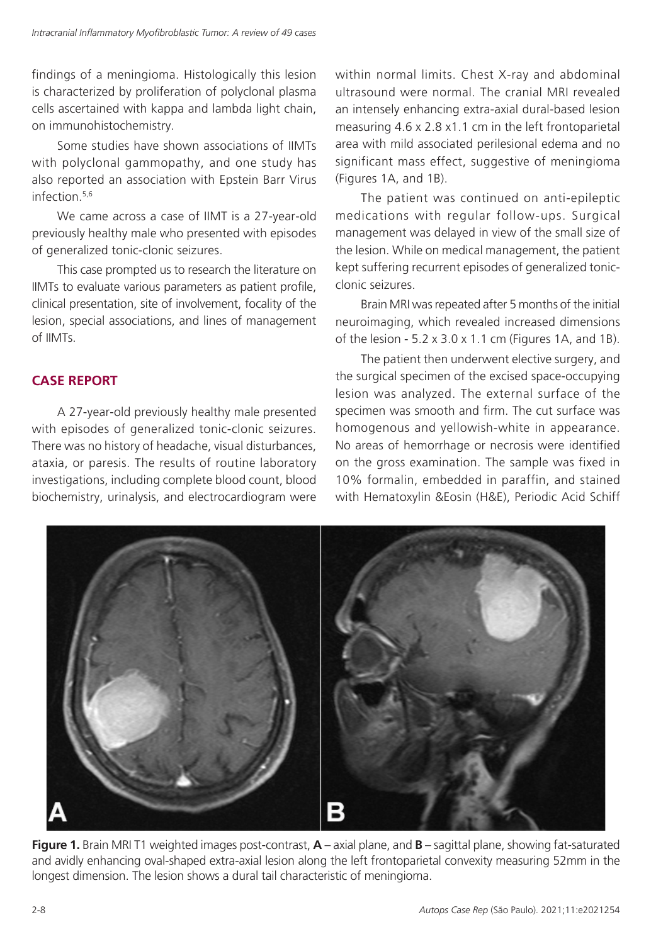findings of a meningioma. Histologically this lesion is characterized by proliferation of polyclonal plasma cells ascertained with kappa and lambda light chain, on immunohistochemistry.

Some studies have shown associations of IIMTs with polyclonal gammopathy, and one study has also reported an association with Epstein Barr Virus infection.5,6

We came across a case of IIMT is a 27-year-old previously healthy male who presented with episodes of generalized tonic-clonic seizures.

This case prompted us to research the literature on IIMTs to evaluate various parameters as patient profile, clinical presentation, site of involvement, focality of the lesion, special associations, and lines of management of IIMTs.

## **CASE REPORT**

A 27-year-old previously healthy male presented with episodes of generalized tonic-clonic seizures. There was no history of headache, visual disturbances, ataxia, or paresis. The results of routine laboratory investigations, including complete blood count, blood biochemistry, urinalysis, and electrocardiogram were

within normal limits. Chest X-ray and abdominal ultrasound were normal. The cranial MRI revealed an intensely enhancing extra-axial dural-based lesion measuring 4.6 x 2.8 x1.1 cm in the left frontoparietal area with mild associated perilesional edema and no significant mass effect, suggestive of meningioma (Figures 1A, and 1B).

The patient was continued on anti-epileptic medications with regular follow-ups. Surgical management was delayed in view of the small size of the lesion. While on medical management, the patient kept suffering recurrent episodes of generalized tonicclonic seizures.

Brain MRI was repeated after 5 months of the initial neuroimaging, which revealed increased dimensions of the lesion  $-5.2 \times 3.0 \times 1.1$  cm (Figures 1A, and 1B).

The patient then underwent elective surgery, and the surgical specimen of the excised space-occupying lesion was analyzed. The external surface of the specimen was smooth and firm. The cut surface was homogenous and yellowish-white in appearance. No areas of hemorrhage or necrosis were identified on the gross examination. The sample was fixed in 10% formalin, embedded in paraffin, and stained with Hematoxylin &Eosin (H&E), Periodic Acid Schiff



**Figure 1.** Brain MRI T1 weighted images post-contrast, **A** – axial plane, and **B** – sagittal plane, showing fat-saturated and avidly enhancing oval-shaped extra-axial lesion along the left frontoparietal convexity measuring 52mm in the longest dimension. The lesion shows a dural tail characteristic of meningioma.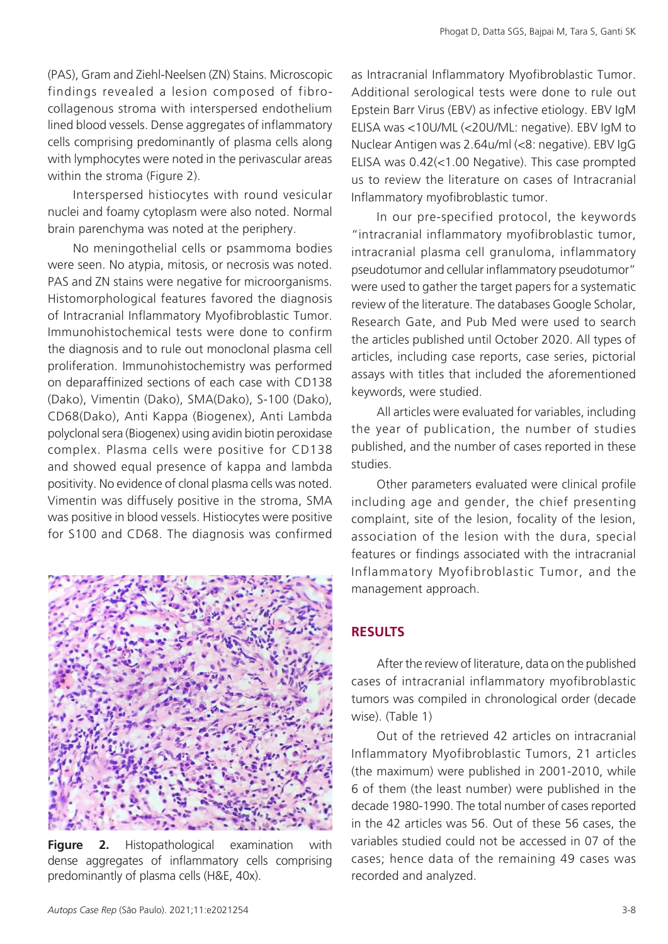(PAS), Gram and Ziehl-Neelsen (ZN) Stains. Microscopic findings revealed a lesion composed of fibrocollagenous stroma with interspersed endothelium lined blood vessels. Dense aggregates of inflammatory cells comprising predominantly of plasma cells along with lymphocytes were noted in the perivascular areas within the stroma (Figure 2).

Interspersed histiocytes with round vesicular nuclei and foamy cytoplasm were also noted. Normal brain parenchyma was noted at the periphery.

No meningothelial cells or psammoma bodies were seen. No atypia, mitosis, or necrosis was noted. PAS and ZN stains were negative for microorganisms. Histomorphological features favored the diagnosis of Intracranial Inflammatory Myofibroblastic Tumor. Immunohistochemical tests were done to confirm the diagnosis and to rule out monoclonal plasma cell proliferation. Immunohistochemistry was performed on deparaffinized sections of each case with CD138 (Dako), Vimentin (Dako), SMA(Dako), S-100 (Dako), CD68(Dako), Anti Kappa (Biogenex), Anti Lambda polyclonal sera (Biogenex) using avidin biotin peroxidase complex. Plasma cells were positive for CD138 and showed equal presence of kappa and lambda positivity. No evidence of clonal plasma cells was noted. Vimentin was diffusely positive in the stroma, SMA was positive in blood vessels. Histiocytes were positive for S100 and CD68. The diagnosis was confirmed



**Figure 2.** Histopathological examination with dense aggregates of inflammatory cells comprising predominantly of plasma cells (H&E, 40x).

as Intracranial Inflammatory Myofibroblastic Tumor. Additional serological tests were done to rule out Epstein Barr Virus (EBV) as infective etiology. EBV IgM ELISA was <10U/ML (<20U/ML: negative). EBV IgM to Nuclear Antigen was 2.64u/ml (<8: negative). EBV IgG ELISA was 0.42(<1.00 Negative). This case prompted us to review the literature on cases of Intracranial Inflammatory myofibroblastic tumor.

In our pre-specified protocol, the keywords "intracranial inflammatory myofibroblastic tumor, intracranial plasma cell granuloma, inflammatory pseudotumor and cellular inflammatory pseudotumor" were used to gather the target papers for a systematic review of the literature. The databases Google Scholar, Research Gate, and Pub Med were used to search the articles published until October 2020. All types of articles, including case reports, case series, pictorial assays with titles that included the aforementioned keywords, were studied.

All articles were evaluated for variables, including the year of publication, the number of studies published, and the number of cases reported in these studies.

Other parameters evaluated were clinical profile including age and gender, the chief presenting complaint, site of the lesion, focality of the lesion, association of the lesion with the dura, special features or findings associated with the intracranial Inflammatory Myofibroblastic Tumor, and the management approach.

### **RESULTS**

After the review of literature, data on the published cases of intracranial inflammatory myofibroblastic tumors was compiled in chronological order (decade wise). (Table 1)

Out of the retrieved 42 articles on intracranial Inflammatory Myofibroblastic Tumors, 21 articles (the maximum) were published in 2001-2010, while 6 of them (the least number) were published in the decade 1980-1990. The total number of cases reported in the 42 articles was 56. Out of these 56 cases, the variables studied could not be accessed in 07 of the cases; hence data of the remaining 49 cases was recorded and analyzed.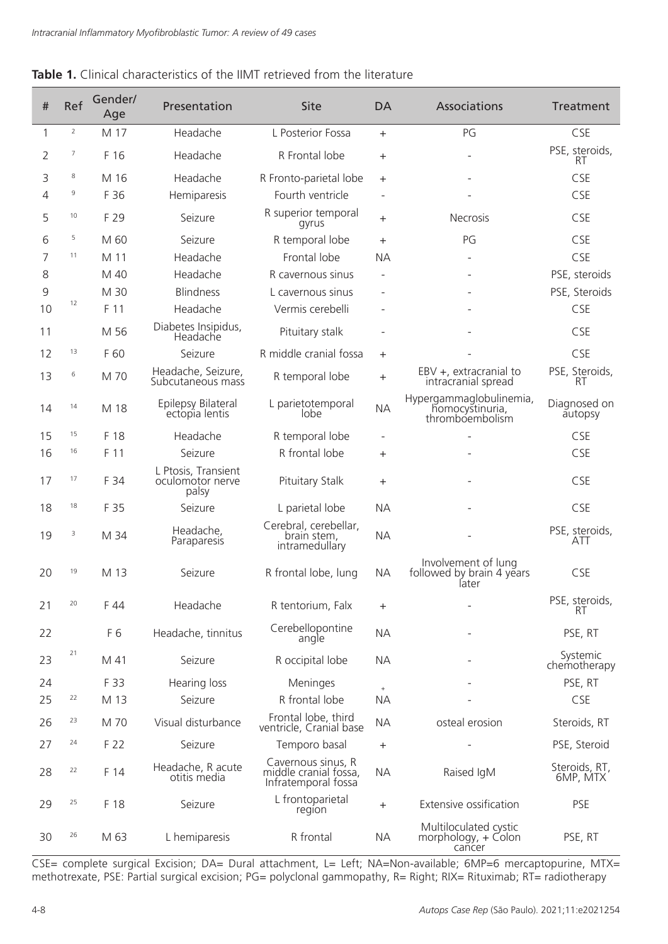#### **Table 1.** Clinical characteristics of the IIMT retrieved from the literature

| $\#$           | Ref        | Gender/<br>Age | Presentation                                     | <b>Site</b>                                                        | <b>DA</b>                        | Associations                                                  | Treatment                   |
|----------------|------------|----------------|--------------------------------------------------|--------------------------------------------------------------------|----------------------------------|---------------------------------------------------------------|-----------------------------|
| 1              | $\sqrt{2}$ | M 17           | Headache                                         | L Posterior Fossa                                                  | $+$                              | PG                                                            | CSE                         |
| $\overline{2}$ | 7          | F 16           | Headache                                         | R Frontal lobe                                                     | $^{+}$                           |                                                               | PSE, steroids,<br><b>RT</b> |
| 3              | 8          | M 16           | Headache                                         | R Fronto-parietal lobe                                             | $\pm$                            |                                                               | CSE                         |
| 4              | 9          | F 36           | Hemiparesis                                      | Fourth ventricle                                                   |                                  |                                                               | CSE                         |
| 5              | 10         | F 29           | Seizure                                          | R superior temporal<br>gyrus                                       | $+$                              | <b>Necrosis</b>                                               | CSE                         |
| 6              | 5          | M 60           | Seizure                                          | R temporal lobe                                                    | $+$                              | PG                                                            | CSE                         |
| 7              | 11         | M 11           | Headache                                         | Frontal lobe                                                       | <b>NA</b>                        |                                                               | CSE                         |
| 8              |            | M 40           | Headache                                         | R cavernous sinus                                                  |                                  |                                                               | PSE, steroids               |
| 9              |            | M 30           | <b>Blindness</b>                                 | L cavernous sinus                                                  |                                  |                                                               | PSE, Steroids               |
| 10             | 12         | F 11           | Headache                                         | Vermis cerebelli                                                   |                                  |                                                               | CSE                         |
| 11             |            | M 56           | Diabetes Insipidus,<br>Headache                  | Pituitary stalk                                                    | $\overline{\phantom{0}}$         |                                                               | CSE                         |
| 12             | 13         | F 60           | Seizure                                          | R middle cranial fossa                                             | $+$                              |                                                               | CSE                         |
| 13             | 6          | M 70           | Headache, Seizure,<br>Subcutaneous mass          | R temporal lobe                                                    | $^{+}$                           | EBV +, extracranial to<br>intracranial spread                 | PSE, Steroids,<br>RT        |
| 14             | 14         | M 18           | Epilepsy Bilateral<br>ectopia lentis             | L parietotemporal<br>lobe                                          | <b>NA</b>                        | Hypergammaglobulinemia,<br>homocystinuria,<br>thromboembolism | Diagnosed on<br>autopsy     |
| 15             | 15         | F 18           | Headache                                         | R temporal lobe                                                    |                                  |                                                               | CSE                         |
| 16             | 16         | F 11           | Seizure                                          | R frontal lobe                                                     | $+$                              |                                                               | CSE                         |
| 17             | 17         | F 34           | L Ptosis, Transient<br>oculomotor nerve<br>palsy | Pituitary Stalk                                                    | $^{+}$                           |                                                               | CSE                         |
| 18             | 18         | F 35           | Seizure                                          | L parietal lobe                                                    | <b>NA</b>                        |                                                               | CSE                         |
| 19             | 3          | M 34           | Headache,<br>Paraparesis                         | Cerebral, cerebellar,<br>brain stem,<br>intramedullary             | <b>NA</b>                        |                                                               | PSE, steroids,<br>ATT       |
| 20             | 19         | M 13           | Seizure                                          | R frontal lobe, lung                                               | <b>NA</b>                        | Involvement of lung<br>followed by brain 4 years<br>later     | CSE                         |
| 21             | 20         | F 44           | Headache                                         | R tentorium, Falx                                                  | $^{+}$                           |                                                               | PSE, steroids,<br>RΙ        |
| 22             |            | F6             | Headache, tinnitus                               | Cerebellopontine<br>angle                                          | <b>NA</b>                        |                                                               | PSE, RT                     |
| 23             | 21         | M 41           | Seizure                                          | R occipital lobe                                                   | <b>NA</b>                        |                                                               | Systemic<br>chemotherapy    |
| 24             |            | F 33           | Hearing loss                                     | Meninges                                                           | $^{\rm +}$                       |                                                               | PSE, RT                     |
| 25             | 22         | M 13           | Seizure                                          | R frontal lobe                                                     | <b>NA</b>                        |                                                               | CSE                         |
| 26             | 23         | M 70           | Visual disturbance                               | Frontal lobe, third<br>ventricle, Cranial base                     | <b>NA</b>                        | osteal erosion                                                | Steroids, RT                |
| 27             | 24         | F 22           | Seizure                                          | Temporo basal                                                      | $+$                              |                                                               | PSE, Steroid                |
| 28             | 22         | F 14           | Headache, R acute<br>otitis media                | Cavernous sinus, R<br>middle cranial fossa,<br>Infratemporal fossa | <b>NA</b>                        | Raised IgM                                                    | Steroids, RT,<br>6MP, MTX   |
| 29             | 25         | F 18           | Seizure                                          | L frontoparietal<br>region                                         | $\begin{array}{c} + \end{array}$ | Extensive ossification                                        | <b>PSE</b>                  |
| 30             | 26         | M 63           | L hemiparesis                                    | R frontal                                                          | <b>NA</b>                        | Multiloculated cystic<br>morphology, + Colon<br>cancer        | PSE, RT                     |

CSE= complete surgical Excision; DA= Dural attachment, L= Left; NA=Non-available; 6MP=6 mercaptopurine, MTX= methotrexate, PSE: Partial surgical excision; PG= polyclonal gammopathy, R= Right; RIX= Rituximab; RT= radiotherapy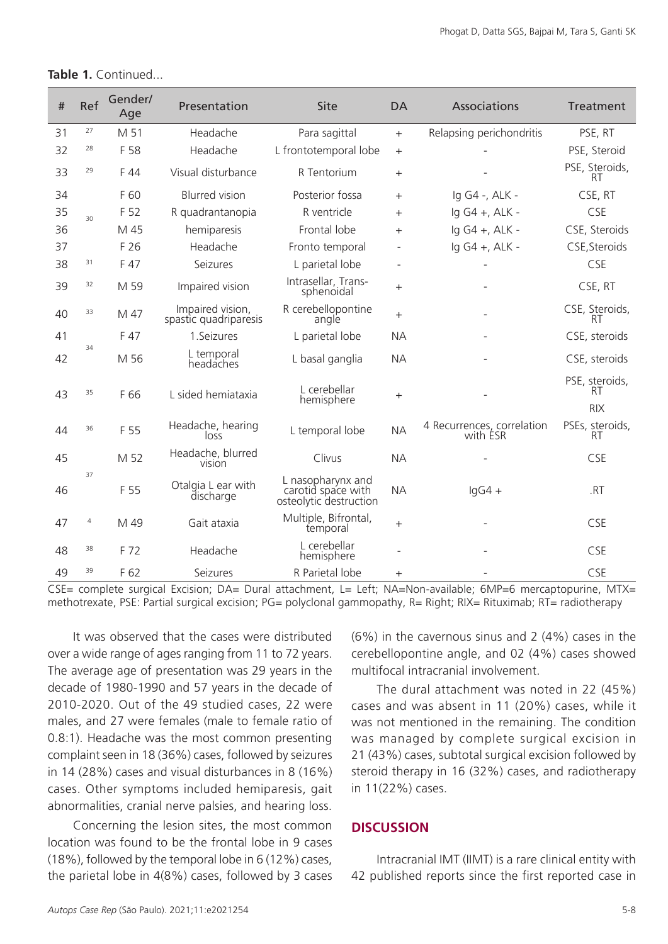| $\#$ | Ref | Gender/<br>Age | Presentation                              | Site                                                              | <b>DA</b> | Associations                           | Treatment                                 |
|------|-----|----------------|-------------------------------------------|-------------------------------------------------------------------|-----------|----------------------------------------|-------------------------------------------|
| 31   | 27  | M 51           | Headache                                  | Para sagittal                                                     | $+$       | Relapsing perichondritis               | PSE, RT                                   |
| 32   | 28  | F 58           | Headache                                  | L frontotemporal lobe                                             | $\ddot{}$ |                                        | PSE, Steroid                              |
| 33   | 29  | F 44           | Visual disturbance                        | R Tentorium                                                       | $\pm$     |                                        | PSE, Steroids,<br><b>RT</b>               |
| 34   |     | F 60           | <b>Blurred</b> vision                     | Posterior fossa                                                   | $+$       | lg G4 -, ALK -                         | CSE, RT                                   |
| 35   | 30  | F 52           | R quadrantanopia                          | R ventricle                                                       | $^{+}$    | lg G4 +, ALK -                         | CSE                                       |
| 36   |     | M 45           | hemiparesis                               | Frontal lobe                                                      | $^{+}$    | lg G4 +, ALK -                         | CSE, Steroids                             |
| 37   |     | F 26           | Headache                                  | Fronto temporal                                                   |           | lg G4 +, ALK -                         | CSE, Steroids                             |
| 38   | 31  | F 47           | Seizures                                  | L parietal lobe                                                   |           |                                        | CSE                                       |
| 39   | 32  | M 59           | Impaired vision                           | Intrasellar, Trans-<br>sphenoidal                                 | $\pm$     |                                        | CSE, RT                                   |
| 40   | 33  | M 47           | Impaired vision,<br>spastic quadriparesis | R cerebellopontine<br>angle                                       | $\pm$     |                                        | CSE, Steroids,<br>RT                      |
| 41   |     | F 47           | 1.Seizures                                | L parietal lobe                                                   | <b>NA</b> |                                        | CSE, steroids                             |
| 42   | 34  | M 56           | L temporal<br>headaches                   | L basal ganglia                                                   | <b>NA</b> |                                        | CSE, steroids                             |
| 43   | 35  | F 66           | L sided hemiataxia                        | L cerebellar<br>hemisphere                                        | $\ddot{}$ |                                        | PSE, steroids,<br><b>RT</b><br><b>RIX</b> |
| 44   | 36  | F 55           | Headache, hearing<br>loss                 | L temporal lobe                                                   | <b>NA</b> | 4 Recurrences, correlation<br>with ESR | PSEs, steroids,<br>RT                     |
| 45   |     | M 52           | Headache, blurred<br><b>VISION</b>        | Clivus                                                            | <b>NA</b> |                                        | CSE                                       |
| 46   | 37  | F 55           | Otalgia L ear with<br>discharge           | L nasopharynx and<br>carotid space with<br>osteolytic destruction | <b>NA</b> | $lgG4 +$                               | .RT                                       |
| 47   | 4   | M 49           | Gait ataxia                               | Multiple, Bifrontal,<br>temporal                                  | $+$       |                                        | CSE                                       |
| 48   | 38  | F 72           | Headache                                  | L cerebellar<br>hemisphere                                        |           |                                        | CSE                                       |
| 49   | 39  | F 62           | Seizures                                  | R Parietal lobe                                                   | $\pm$     |                                        | CSE                                       |

#### **Table 1.** Continued...

CSE= complete surgical Excision: DA= Dural attachment, L= Left; NA=Non-available; 6MP=6 mercaptopurine, MTX= methotrexate, PSE: Partial surgical excision; PG= polyclonal gammopathy, R= Right; RIX= Rituximab; RT= radiotherapy

It was observed that the cases were distributed over a wide range of ages ranging from 11 to 72 years. The average age of presentation was 29 years in the decade of 1980-1990 and 57 years in the decade of 2010-2020. Out of the 49 studied cases, 22 were males, and 27 were females (male to female ratio of 0.8:1). Headache was the most common presenting complaint seen in 18 (36%) cases, followed by seizures in 14 (28%) cases and visual disturbances in 8 (16%) cases. Other symptoms included hemiparesis, gait abnormalities, cranial nerve palsies, and hearing loss.

Concerning the lesion sites, the most common location was found to be the frontal lobe in 9 cases (18%), followed by the temporal lobe in 6 (12%) cases, the parietal lobe in 4(8%) cases, followed by 3 cases (6%) in the cavernous sinus and 2 (4%) cases in the cerebellopontine angle, and 02 (4%) cases showed multifocal intracranial involvement.

The dural attachment was noted in 22 (45%) cases and was absent in 11 (20%) cases, while it was not mentioned in the remaining. The condition was managed by complete surgical excision in 21 (43%) cases, subtotal surgical excision followed by steroid therapy in 16 (32%) cases, and radiotherapy in 11(22%) cases.

#### **DISCUSSION**

Intracranial IMT (IIMT) is a rare clinical entity with 42 published reports since the first reported case in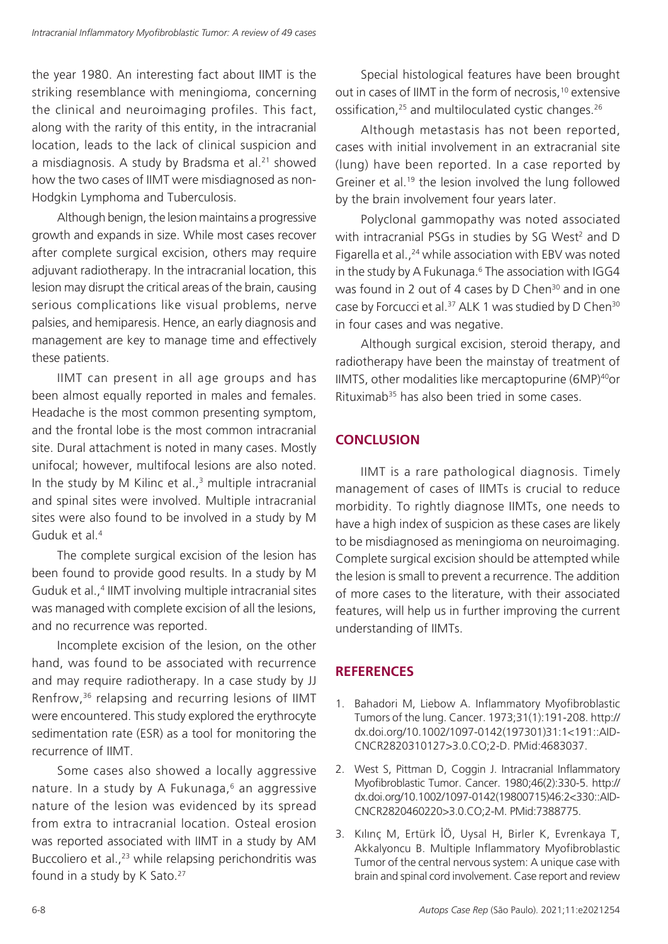the year 1980. An interesting fact about IIMT is the striking resemblance with meningioma, concerning the clinical and neuroimaging profiles. This fact, along with the rarity of this entity, in the intracranial location, leads to the lack of clinical suspicion and a misdiagnosis. A study by Bradsma et al.<sup>21</sup> showed how the two cases of IIMT were misdiagnosed as non-Hodgkin Lymphoma and Tuberculosis.

Although benign, the lesion maintains a progressive growth and expands in size. While most cases recover after complete surgical excision, others may require adjuvant radiotherapy. In the intracranial location, this lesion may disrupt the critical areas of the brain, causing serious complications like visual problems, nerve palsies, and hemiparesis. Hence, an early diagnosis and management are key to manage time and effectively these patients.

IIMT can present in all age groups and has been almost equally reported in males and females. Headache is the most common presenting symptom, and the frontal lobe is the most common intracranial site. Dural attachment is noted in many cases. Mostly unifocal; however, multifocal lesions are also noted. In the study by M Kilinc et al., $3$  multiple intracranial and spinal sites were involved. Multiple intracranial sites were also found to be involved in a study by M Guduk et al.4

The complete surgical excision of the lesion has been found to provide good results. In a study by M Guduk et al.,<sup>4</sup> IIMT involving multiple intracranial sites was managed with complete excision of all the lesions, and no recurrence was reported.

Incomplete excision of the lesion, on the other hand, was found to be associated with recurrence and may require radiotherapy. In a case study by JJ Renfrow,36 relapsing and recurring lesions of IIMT were encountered. This study explored the erythrocyte sedimentation rate (ESR) as a tool for monitoring the recurrence of IIMT.

Some cases also showed a locally aggressive nature. In a study by A Fukunaga, $6$  an aggressive nature of the lesion was evidenced by its spread from extra to intracranial location. Osteal erosion was reported associated with IIMT in a study by AM Buccoliero et al.,<sup>23</sup> while relapsing perichondritis was found in a study by K Sato.<sup>27</sup>

Special histological features have been brought out in cases of IIMT in the form of necrosis,<sup>10</sup> extensive ossification,<sup>25</sup> and multiloculated cystic changes.<sup>26</sup>

Although metastasis has not been reported, cases with initial involvement in an extracranial site (lung) have been reported. In a case reported by Greiner et al.<sup>19</sup> the lesion involved the lung followed by the brain involvement four years later.

Polyclonal gammopathy was noted associated with intracranial PSGs in studies by SG West<sup>2</sup> and D Figarella et al.,<sup>24</sup> while association with EBV was noted in the study by A Fukunaga.<sup>6</sup> The association with IGG4 was found in 2 out of 4 cases by D Chen<sup>30</sup> and in one case by Forcucci et al.<sup>37</sup> ALK 1 was studied by D Chen<sup>30</sup> in four cases and was negative.

Although surgical excision, steroid therapy, and radiotherapy have been the mainstay of treatment of IIMTS, other modalities like mercaptopurine (6MP)40or Rituximab<sup>35</sup> has also been tried in some cases.

### **CONCLUSION**

IIMT is a rare pathological diagnosis. Timely management of cases of IIMTs is crucial to reduce morbidity. To rightly diagnose IIMTs, one needs to have a high index of suspicion as these cases are likely to be misdiagnosed as meningioma on neuroimaging. Complete surgical excision should be attempted while the lesion is small to prevent a recurrence. The addition of more cases to the literature, with their associated features, will help us in further improving the current understanding of IIMTs.

### **REFERENCES**

- 1. Bahadori M, Liebow A. Inflammatory Myofibroblastic Tumors of the lung. Cancer. 1973;31(1):191-208. [http://](https://doi.org/10.1002/1097-0142(197301)31:1%3c191::AID-CNCR2820310127%3e3.0.CO;2-D) [dx.doi.org/10.1002/1097-0142\(197301\)31:1<191::AID-](https://doi.org/10.1002/1097-0142(197301)31:1%3c191::AID-CNCR2820310127%3e3.0.CO;2-D)[CNCR2820310127>3.0.CO;2-D](https://doi.org/10.1002/1097-0142(197301)31:1%3c191::AID-CNCR2820310127%3e3.0.CO;2-D). [PMid:4683037.](https://www.ncbi.nlm.nih.gov/entrez/query.fcgi?cmd=Retrieve&db=PubMed&list_uids=4683037&dopt=Abstract)
- 2. West S, Pittman D, Coggin J. Intracranial Inflammatory Myofibroblastic Tumor. Cancer. 1980;46(2):330-5. [http://](https://doi.org/10.1002/1097-0142(19800715)46:2%3c330::AID-CNCR2820460220%3e3.0.CO;2-M) [dx.doi.org/10.1002/1097-0142\(19800715\)46:2<330::AID-](https://doi.org/10.1002/1097-0142(19800715)46:2%3c330::AID-CNCR2820460220%3e3.0.CO;2-M)[CNCR2820460220>3.0.CO;2-M](https://doi.org/10.1002/1097-0142(19800715)46:2%3c330::AID-CNCR2820460220%3e3.0.CO;2-M)[. PMid:7388775.](https://www.ncbi.nlm.nih.gov/entrez/query.fcgi?cmd=Retrieve&db=PubMed&list_uids=7388775&dopt=Abstract)
- 3. Kılınç M, Ertürk İÖ, Uysal H, Birler K, Evrenkaya T, Akkalyoncu B. Multiple Inflammatory Myofibroblastic Tumor of the central nervous system: A unique case with brain and spinal cord involvement. Case report and review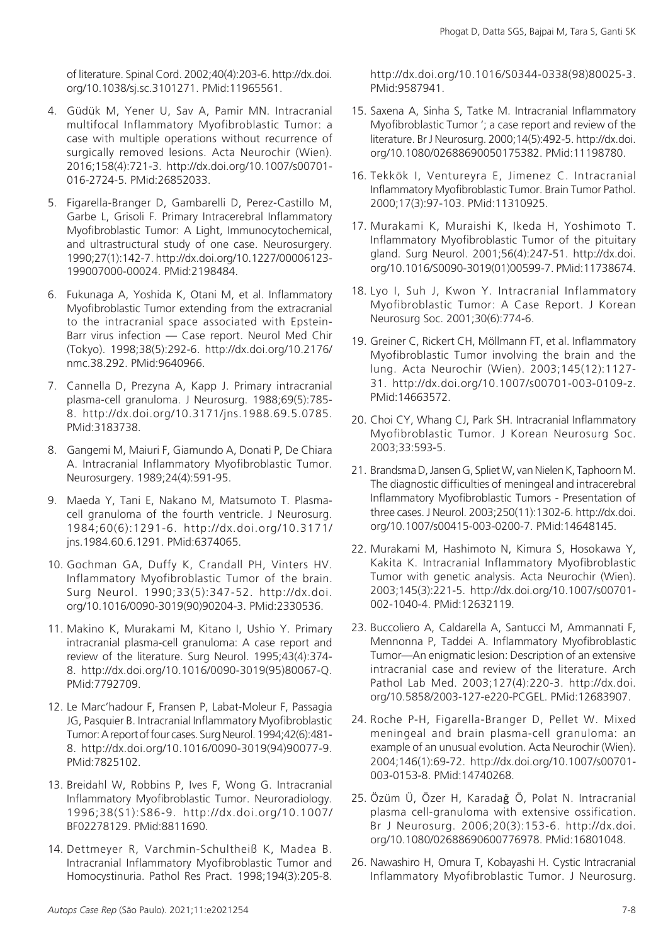of literature. Spinal Cord. 2002;40(4):203-6. [http://dx.doi.](https://doi.org/10.1038/sj.sc.3101271) [org/10.1038/sj.sc.3101271.](https://doi.org/10.1038/sj.sc.3101271) [PMid:11965561.](https://www.ncbi.nlm.nih.gov/entrez/query.fcgi?cmd=Retrieve&db=PubMed&list_uids=11965561&dopt=Abstract)

- 4. Güdük M, Yener U, Sav A, Pamir MN. Intracranial multifocal Inflammatory Myofibroblastic Tumor: a case with multiple operations without recurrence of surgically removed lesions. Acta Neurochir (Wien). 2016;158(4):721-3. [http://dx.doi.org/10.1007/s00701-](https://doi.org/10.1007/s00701-016-2724-5) [016-2724-5](https://doi.org/10.1007/s00701-016-2724-5)[. PMid:26852033.](https://www.ncbi.nlm.nih.gov/entrez/query.fcgi?cmd=Retrieve&db=PubMed&list_uids=26852033&dopt=Abstract)
- 5. Figarella-Branger D, Gambarelli D, Perez-Castillo M, Garbe L, Grisoli F. Primary Intracerebral Inflammatory Myofibroblastic Tumor: A Light, Immunocytochemical, and ultrastructural study of one case. Neurosurgery. 1990;27(1):142-7. [http://dx.doi.org/10.1227/00006123-](https://doi.org/10.1227/00006123-199007000-00024) [199007000-00024](https://doi.org/10.1227/00006123-199007000-00024)[. PMid:2198484.](https://www.ncbi.nlm.nih.gov/entrez/query.fcgi?cmd=Retrieve&db=PubMed&list_uids=2198484&dopt=Abstract)
- 6. Fukunaga A, Yoshida K, Otani M, et al. Inflammatory Myofibroblastic Tumor extending from the extracranial to the intracranial space associated with Epstein-Barr virus infection — Case report. Neurol Med Chir (Tokyo). 1998;38(5):292-6. [http://dx.doi.org/10.2176/](https://doi.org/10.2176/nmc.38.292) [nmc.38.292](https://doi.org/10.2176/nmc.38.292). [PMid:9640966.](https://www.ncbi.nlm.nih.gov/entrez/query.fcgi?cmd=Retrieve&db=PubMed&list_uids=9640966&dopt=Abstract)
- 7. Cannella D, Prezyna A, Kapp J. Primary intracranial plasma-cell granuloma. J Neurosurg. 1988;69(5):785- 8. [http://dx.doi.org/10.3171/jns.1988.69.5.0785](https://doi.org/10.3171/jns.1988.69.5.0785). [PMid:3183738.](https://www.ncbi.nlm.nih.gov/entrez/query.fcgi?cmd=Retrieve&db=PubMed&list_uids=3183738&dopt=Abstract)
- 8. Gangemi M, Maiuri F, Giamundo A, Donati P, De Chiara A. Intracranial Inflammatory Myofibroblastic Tumor. Neurosurgery. 1989;24(4):591-95.
- 9. Maeda Y, Tani E, Nakano M, Matsumoto T. Plasmacell granuloma of the fourth ventricle. J Neurosurg. 1984;60(6):1291-6. [http://dx.doi.org/10.3171/](https://doi.org/10.3171/jns.1984.60.6.1291) [jns.1984.60.6.1291](https://doi.org/10.3171/jns.1984.60.6.1291)[. PMid:6374065.](https://www.ncbi.nlm.nih.gov/entrez/query.fcgi?cmd=Retrieve&db=PubMed&list_uids=6374065&dopt=Abstract)
- 10. Gochman GA, Duffy K, Crandall PH, Vinters HV. Inflammatory Myofibroblastic Tumor of the brain. Surg Neurol. 1990;33(5):347-52. [http://dx.doi.](https://doi.org/10.1016/0090-3019(90)90204-3) [org/10.1016/0090-3019\(90\)90204-3.](https://doi.org/10.1016/0090-3019(90)90204-3) [PMid:2330536.](https://www.ncbi.nlm.nih.gov/entrez/query.fcgi?cmd=Retrieve&db=PubMed&list_uids=2330536&dopt=Abstract)
- 11. Makino K, Murakami M, Kitano I, Ushio Y. Primary intracranial plasma-cell granuloma: A case report and review of the literature. Surg Neurol. 1995;43(4):374- 8. [http://dx.doi.org/10.1016/0090-3019\(95\)80067-Q](https://doi.org/10.1016/0090-3019(95)80067-Q). [PMid:7792709.](https://www.ncbi.nlm.nih.gov/entrez/query.fcgi?cmd=Retrieve&db=PubMed&list_uids=7792709&dopt=Abstract)
- 12. Le Marc'hadour F, Fransen P, Labat-Moleur F, Passagia JG, Pasquier B. Intracranial Inflammatory Myofibroblastic Tumor: A report of four cases. Surg Neurol. 1994;42(6):481- 8. [http://dx.doi.org/10.1016/0090-3019\(94\)90077-9](https://doi.org/10.1016/0090-3019(94)90077-9). [PMid:7825102.](https://www.ncbi.nlm.nih.gov/entrez/query.fcgi?cmd=Retrieve&db=PubMed&list_uids=7825102&dopt=Abstract)
- 13. Breidahl W, Robbins P, Ives F, Wong G. Intracranial Inflammatory Myofibroblastic Tumor. Neuroradiology. 1996;38(S1):S86-9. [http://dx.doi.org/10.1007/](https://doi.org/10.1007/BF02278129) [BF02278129](https://doi.org/10.1007/BF02278129). [PMid:8811690.](https://www.ncbi.nlm.nih.gov/entrez/query.fcgi?cmd=Retrieve&db=PubMed&list_uids=8811690&dopt=Abstract)
- 14. Dettmeyer R, Varchmin-Schultheiß K, Madea B. Intracranial Inflammatory Myofibroblastic Tumor and Homocystinuria. Pathol Res Pract. 1998;194(3):205-8.

[http://dx.doi.org/10.1016/S0344-0338\(98\)80025-3](https://doi.org/10.1016/S0344-0338(98)80025-3). [PMid:9587941.](https://www.ncbi.nlm.nih.gov/entrez/query.fcgi?cmd=Retrieve&db=PubMed&list_uids=9587941&dopt=Abstract)

- 15. Saxena A, Sinha S, Tatke M. Intracranial Inflammatory Myofibroblastic Tumor '; a case report and review of the literature. Br J Neurosurg. 2000;14(5):492-5. [http://dx.doi.](https://doi.org/10.1080/02688690050175382) [org/10.1080/02688690050175382.](https://doi.org/10.1080/02688690050175382) [PMid:11198780.](https://www.ncbi.nlm.nih.gov/entrez/query.fcgi?cmd=Retrieve&db=PubMed&list_uids=11198780&dopt=Abstract)
- 16. Tekkök I, Ventureyra E, Jimenez C. Intracranial Inflammatory Myofibroblastic Tumor. Brain Tumor Pathol. 2000;17(3):97-103[. PMid:11310925.](https://www.ncbi.nlm.nih.gov/entrez/query.fcgi?cmd=Retrieve&db=PubMed&list_uids=11310925&dopt=Abstract)
- 17. Murakami K, Muraishi K, Ikeda H, Yoshimoto T. Inflammatory Myofibroblastic Tumor of the pituitary gland. Surg Neurol. 2001;56(4):247-51. [http://dx.doi.](https://doi.org/10.1016/S0090-3019(01)00599-7) [org/10.1016/S0090-3019\(01\)00599-7](https://doi.org/10.1016/S0090-3019(01)00599-7). [PMid:11738674.](https://www.ncbi.nlm.nih.gov/entrez/query.fcgi?cmd=Retrieve&db=PubMed&list_uids=11738674&dopt=Abstract)
- 18. Lyo I, Suh J, Kwon Y. Intracranial Inflammatory Myofibroblastic Tumor: A Case Report. J Korean Neurosurg Soc. 2001;30(6):774-6.
- 19. Greiner C, Rickert CH, Möllmann FT, et al. Inflammatory Myofibroblastic Tumor involving the brain and the lung. Acta Neurochir (Wien). 2003;145(12):1127- 31. [http://dx.doi.org/10.1007/s00701-003-0109-z](https://doi.org/10.1007/s00701-003-0109-z). [PMid:14663572.](https://www.ncbi.nlm.nih.gov/entrez/query.fcgi?cmd=Retrieve&db=PubMed&list_uids=14663572&dopt=Abstract)
- 20. Choi CY, Whang CJ, Park SH. Intracranial Inflammatory Myofibroblastic Tumor. J Korean Neurosurg Soc. 2003;33:593-5.
- 21. Brandsma D, Jansen G, Spliet W, van Nielen K, Taphoorn M. The diagnostic difficulties of meningeal and intracerebral Inflammatory Myofibroblastic Tumors - Presentation of three cases. J Neurol. 2003;250(11):1302-6. [http://dx.doi.](https://doi.org/10.1007/s00415-003-0200-7) [org/10.1007/s00415-003-0200-7.](https://doi.org/10.1007/s00415-003-0200-7) [PMid:14648145.](https://www.ncbi.nlm.nih.gov/entrez/query.fcgi?cmd=Retrieve&db=PubMed&list_uids=14648145&dopt=Abstract)
- 22. Murakami M, Hashimoto N, Kimura S, Hosokawa Y, Kakita K. Intracranial Inflammatory Myofibroblastic Tumor with genetic analysis. Acta Neurochir (Wien). 2003;145(3):221-5. [http://dx.doi.org/10.1007/s00701-](https://doi.org/10.1007/s00701-002-1040-4) [002-1040-4](https://doi.org/10.1007/s00701-002-1040-4)[. PMid:12632119.](https://www.ncbi.nlm.nih.gov/entrez/query.fcgi?cmd=Retrieve&db=PubMed&list_uids=12632119&dopt=Abstract)
- 23. Buccoliero A, Caldarella A, Santucci M, Ammannati F, Mennonna P, Taddei A. Inflammatory Myofibroblastic Tumor—An enigmatic lesion: Description of an extensive intracranial case and review of the literature. Arch Pathol Lab Med. 2003;127(4):220-3. [http://dx.doi.](https://doi.org/10.5858/2003-127-e220-PCGEL) [org/10.5858/2003-127-e220-PCGEL](https://doi.org/10.5858/2003-127-e220-PCGEL)[. PMid:12683907.](https://www.ncbi.nlm.nih.gov/entrez/query.fcgi?cmd=Retrieve&db=PubMed&list_uids=12683907&dopt=Abstract)
- 24. Roche P-H, Figarella-Branger D, Pellet W. Mixed meningeal and brain plasma-cell granuloma: an example of an unusual evolution. Acta Neurochir (Wien). 2004;146(1):69-72. [http://dx.doi.org/10.1007/s00701-](https://doi.org/10.1007/s00701-003-0153-8) [003-0153-8](https://doi.org/10.1007/s00701-003-0153-8)[. PMid:14740268.](https://www.ncbi.nlm.nih.gov/entrez/query.fcgi?cmd=Retrieve&db=PubMed&list_uids=14740268&dopt=Abstract)
- 25. Özüm Ü, Özer H, Karadağ Ö, Polat N. Intracranial plasma cell-granuloma with extensive ossification. Br J Neurosurg. 2006;20(3):153-6. [http://dx.doi.](https://doi.org/10.1080/02688690600776978) [org/10.1080/02688690600776978.](https://doi.org/10.1080/02688690600776978) [PMid:16801048.](https://www.ncbi.nlm.nih.gov/entrez/query.fcgi?cmd=Retrieve&db=PubMed&list_uids=16801048&dopt=Abstract)
- 26. Nawashiro H, Omura T, Kobayashi H. Cystic Intracranial Inflammatory Myofibroblastic Tumor. J Neurosurg.